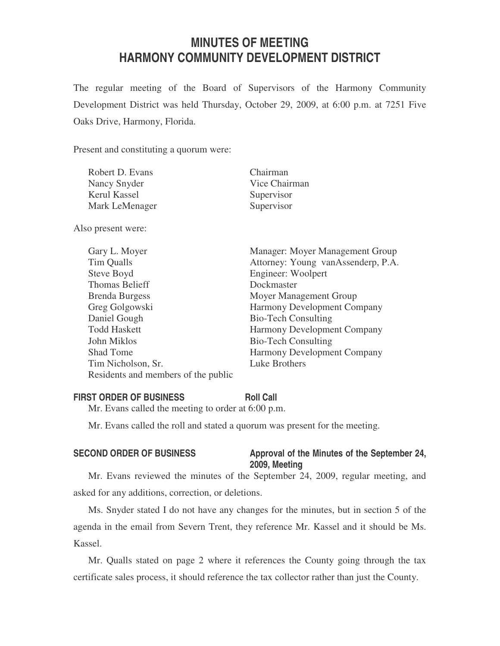# **MINUTES OF MEETING HARMONY COMMUNITY DEVELOPMENT DISTRICT**

The regular meeting of the Board of Supervisors of the Harmony Community Development District was held Thursday, October 29, 2009, at 6:00 p.m. at 7251 Five Oaks Drive, Harmony, Florida.

Present and constituting a quorum were:

| Robert D. Evans | Chairman      |
|-----------------|---------------|
| Nancy Snyder    | Vice Chairman |
| Kerul Kassel    | Supervisor    |
| Mark LeMenager  | Supervisor    |

Also present were:

| Gary L. Moyer                       | Manager: Moyer Management Group    |
|-------------------------------------|------------------------------------|
| Tim Qualls                          | Attorney: Young vanAssenderp, P.A. |
| Steve Boyd                          | Engineer: Woolpert                 |
| <b>Thomas Belieff</b>               | Dockmaster                         |
| <b>Brenda Burgess</b>               | Moyer Management Group             |
| Greg Golgowski                      | <b>Harmony Development Company</b> |
| Daniel Gough                        | <b>Bio-Tech Consulting</b>         |
| <b>Todd Haskett</b>                 | Harmony Development Company        |
| John Miklos                         | <b>Bio-Tech Consulting</b>         |
| <b>Shad Tome</b>                    | Harmony Development Company        |
| Tim Nicholson, Sr.                  | Luke Brothers                      |
| Residents and members of the public |                                    |

#### **FIRST ORDER OF BUSINESS Roll Call**

Mr. Evans called the meeting to order at 6:00 p.m.

Mr. Evans called the roll and stated a quorum was present for the meeting.

# SECOND ORDER OF BUSINESS Approval of the Minutes of the September 24, **2009, Meeting**

Mr. Evans reviewed the minutes of the September 24, 2009, regular meeting, and asked for any additions, correction, or deletions.

Ms. Snyder stated I do not have any changes for the minutes, but in section 5 of the agenda in the email from Severn Trent, they reference Mr. Kassel and it should be Ms. Kassel.

Mr. Qualls stated on page 2 where it references the County going through the tax certificate sales process, it should reference the tax collector rather than just the County.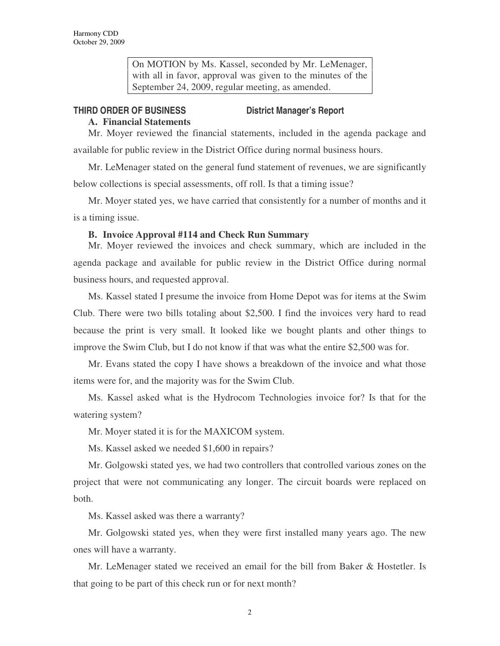On MOTION by Ms. Kassel, seconded by Mr. LeMenager, with all in favor, approval was given to the minutes of the September 24, 2009, regular meeting, as amended.

## **THIRD ORDER OF BUSINESS District Manager's Report**

# **A. Financial Statements**

Mr. Moyer reviewed the financial statements, included in the agenda package and available for public review in the District Office during normal business hours.

Mr. LeMenager stated on the general fund statement of revenues, we are significantly below collections is special assessments, off roll. Is that a timing issue?

Mr. Moyer stated yes, we have carried that consistently for a number of months and it is a timing issue.

### **B. Invoice Approval #114 and Check Run Summary**

Mr. Moyer reviewed the invoices and check summary, which are included in the agenda package and available for public review in the District Office during normal business hours, and requested approval.

Ms. Kassel stated I presume the invoice from Home Depot was for items at the Swim Club. There were two bills totaling about \$2,500. I find the invoices very hard to read because the print is very small. It looked like we bought plants and other things to improve the Swim Club, but I do not know if that was what the entire \$2,500 was for.

Mr. Evans stated the copy I have shows a breakdown of the invoice and what those items were for, and the majority was for the Swim Club.

Ms. Kassel asked what is the Hydrocom Technologies invoice for? Is that for the watering system?

Mr. Moyer stated it is for the MAXICOM system.

Ms. Kassel asked we needed \$1,600 in repairs?

Mr. Golgowski stated yes, we had two controllers that controlled various zones on the project that were not communicating any longer. The circuit boards were replaced on both.

Ms. Kassel asked was there a warranty?

Mr. Golgowski stated yes, when they were first installed many years ago. The new ones will have a warranty.

Mr. LeMenager stated we received an email for the bill from Baker & Hostetler. Is that going to be part of this check run or for next month?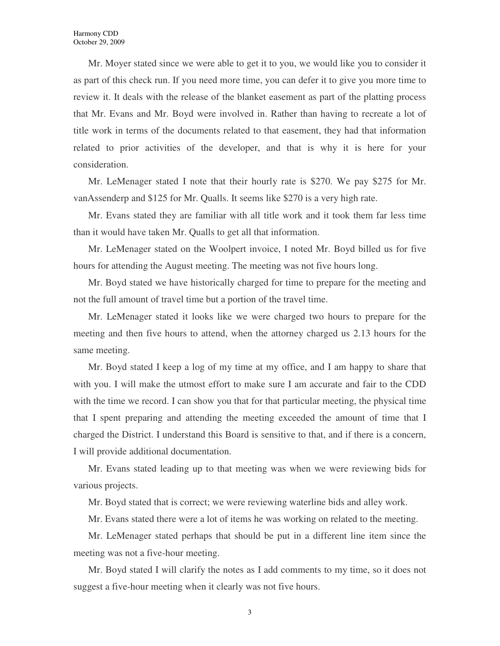Mr. Moyer stated since we were able to get it to you, we would like you to consider it as part of this check run. If you need more time, you can defer it to give you more time to review it. It deals with the release of the blanket easement as part of the platting process that Mr. Evans and Mr. Boyd were involved in. Rather than having to recreate a lot of title work in terms of the documents related to that easement, they had that information related to prior activities of the developer, and that is why it is here for your consideration.

Mr. LeMenager stated I note that their hourly rate is \$270. We pay \$275 for Mr. vanAssenderp and \$125 for Mr. Qualls. It seems like \$270 is a very high rate.

Mr. Evans stated they are familiar with all title work and it took them far less time than it would have taken Mr. Qualls to get all that information.

Mr. LeMenager stated on the Woolpert invoice, I noted Mr. Boyd billed us for five hours for attending the August meeting. The meeting was not five hours long.

Mr. Boyd stated we have historically charged for time to prepare for the meeting and not the full amount of travel time but a portion of the travel time.

Mr. LeMenager stated it looks like we were charged two hours to prepare for the meeting and then five hours to attend, when the attorney charged us 2.13 hours for the same meeting.

Mr. Boyd stated I keep a log of my time at my office, and I am happy to share that with you. I will make the utmost effort to make sure I am accurate and fair to the CDD with the time we record. I can show you that for that particular meeting, the physical time that I spent preparing and attending the meeting exceeded the amount of time that I charged the District. I understand this Board is sensitive to that, and if there is a concern, I will provide additional documentation.

Mr. Evans stated leading up to that meeting was when we were reviewing bids for various projects.

Mr. Boyd stated that is correct; we were reviewing waterline bids and alley work.

Mr. Evans stated there were a lot of items he was working on related to the meeting.

Mr. LeMenager stated perhaps that should be put in a different line item since the meeting was not a five-hour meeting.

Mr. Boyd stated I will clarify the notes as I add comments to my time, so it does not suggest a five-hour meeting when it clearly was not five hours.

3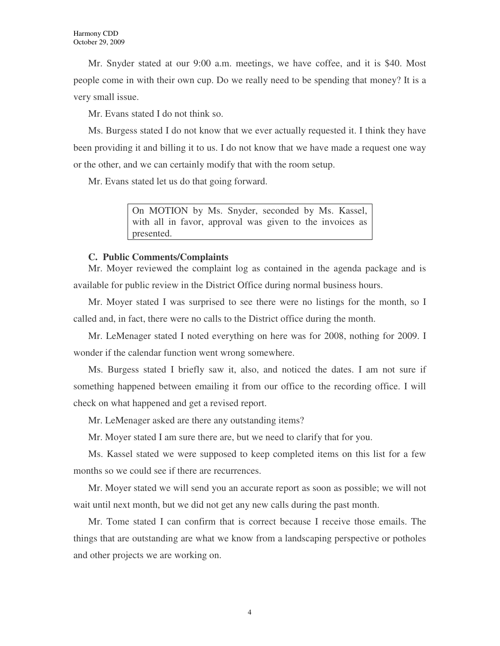Mr. Snyder stated at our 9:00 a.m. meetings, we have coffee, and it is \$40. Most people come in with their own cup. Do we really need to be spending that money? It is a very small issue.

Mr. Evans stated I do not think so.

Ms. Burgess stated I do not know that we ever actually requested it. I think they have been providing it and billing it to us. I do not know that we have made a request one way or the other, and we can certainly modify that with the room setup.

Mr. Evans stated let us do that going forward.

On MOTION by Ms. Snyder, seconded by Ms. Kassel, with all in favor, approval was given to the invoices as presented.

### **C. Public Comments/Complaints**

Mr. Moyer reviewed the complaint log as contained in the agenda package and is available for public review in the District Office during normal business hours.

Mr. Moyer stated I was surprised to see there were no listings for the month, so I called and, in fact, there were no calls to the District office during the month.

Mr. LeMenager stated I noted everything on here was for 2008, nothing for 2009. I wonder if the calendar function went wrong somewhere.

Ms. Burgess stated I briefly saw it, also, and noticed the dates. I am not sure if something happened between emailing it from our office to the recording office. I will check on what happened and get a revised report.

Mr. LeMenager asked are there any outstanding items?

Mr. Moyer stated I am sure there are, but we need to clarify that for you.

Ms. Kassel stated we were supposed to keep completed items on this list for a few months so we could see if there are recurrences.

Mr. Moyer stated we will send you an accurate report as soon as possible; we will not wait until next month, but we did not get any new calls during the past month.

Mr. Tome stated I can confirm that is correct because I receive those emails. The things that are outstanding are what we know from a landscaping perspective or potholes and other projects we are working on.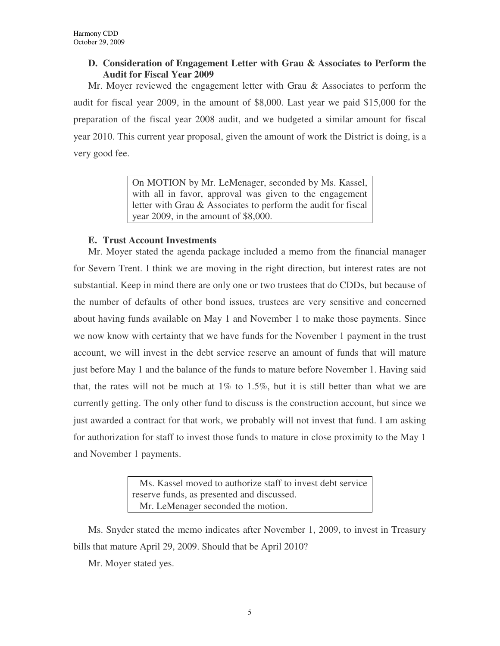# **D. Consideration of Engagement Letter with Grau & Associates to Perform the Audit for Fiscal Year 2009**

Mr. Moyer reviewed the engagement letter with Grau & Associates to perform the audit for fiscal year 2009, in the amount of \$8,000. Last year we paid \$15,000 for the preparation of the fiscal year 2008 audit, and we budgeted a similar amount for fiscal year 2010. This current year proposal, given the amount of work the District is doing, is a very good fee.

> On MOTION by Mr. LeMenager, seconded by Ms. Kassel, with all in favor, approval was given to the engagement letter with Grau & Associates to perform the audit for fiscal year 2009, in the amount of \$8,000.

# **E. Trust Account Investments**

Mr. Moyer stated the agenda package included a memo from the financial manager for Severn Trent. I think we are moving in the right direction, but interest rates are not substantial. Keep in mind there are only one or two trustees that do CDDs, but because of the number of defaults of other bond issues, trustees are very sensitive and concerned about having funds available on May 1 and November 1 to make those payments. Since we now know with certainty that we have funds for the November 1 payment in the trust account, we will invest in the debt service reserve an amount of funds that will mature just before May 1 and the balance of the funds to mature before November 1. Having said that, the rates will not be much at  $1\%$  to 1.5%, but it is still better than what we are currently getting. The only other fund to discuss is the construction account, but since we just awarded a contract for that work, we probably will not invest that fund. I am asking for authorization for staff to invest those funds to mature in close proximity to the May 1 and November 1 payments.

> Ms. Kassel moved to authorize staff to invest debt service reserve funds, as presented and discussed. Mr. LeMenager seconded the motion.

Ms. Snyder stated the memo indicates after November 1, 2009, to invest in Treasury bills that mature April 29, 2009. Should that be April 2010?

Mr. Moyer stated yes.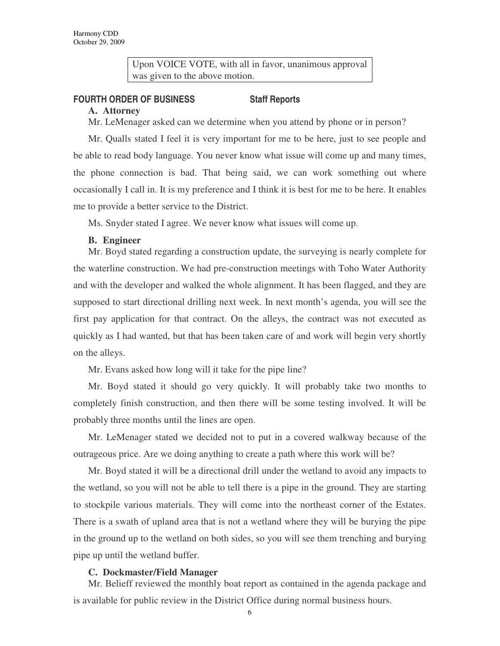Upon VOICE VOTE, with all in favor, unanimous approval was given to the above motion.

# **FOURTH ORDER OF BUSINESS Staff Reports**

#### **A. Attorney**

Mr. LeMenager asked can we determine when you attend by phone or in person?

Mr. Qualls stated I feel it is very important for me to be here, just to see people and be able to read body language. You never know what issue will come up and many times, the phone connection is bad. That being said, we can work something out where occasionally I call in. It is my preference and I think it is best for me to be here. It enables me to provide a better service to the District.

Ms. Snyder stated I agree. We never know what issues will come up.

### **B. Engineer**

Mr. Boyd stated regarding a construction update, the surveying is nearly complete for the waterline construction. We had pre-construction meetings with Toho Water Authority and with the developer and walked the whole alignment. It has been flagged, and they are supposed to start directional drilling next week. In next month's agenda, you will see the first pay application for that contract. On the alleys, the contract was not executed as quickly as I had wanted, but that has been taken care of and work will begin very shortly on the alleys.

Mr. Evans asked how long will it take for the pipe line?

Mr. Boyd stated it should go very quickly. It will probably take two months to completely finish construction, and then there will be some testing involved. It will be probably three months until the lines are open.

Mr. LeMenager stated we decided not to put in a covered walkway because of the outrageous price. Are we doing anything to create a path where this work will be?

Mr. Boyd stated it will be a directional drill under the wetland to avoid any impacts to the wetland, so you will not be able to tell there is a pipe in the ground. They are starting to stockpile various materials. They will come into the northeast corner of the Estates. There is a swath of upland area that is not a wetland where they will be burying the pipe in the ground up to the wetland on both sides, so you will see them trenching and burying pipe up until the wetland buffer.

#### **C. Dockmaster/Field Manager**

Mr. Belieff reviewed the monthly boat report as contained in the agenda package and is available for public review in the District Office during normal business hours.

6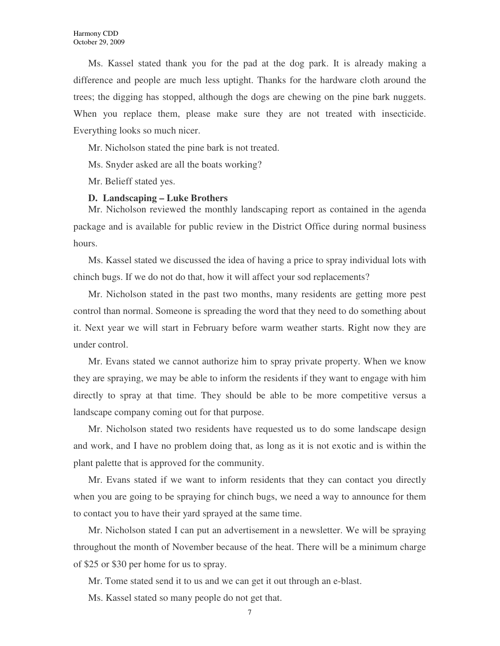Ms. Kassel stated thank you for the pad at the dog park. It is already making a difference and people are much less uptight. Thanks for the hardware cloth around the trees; the digging has stopped, although the dogs are chewing on the pine bark nuggets. When you replace them, please make sure they are not treated with insecticide. Everything looks so much nicer.

Mr. Nicholson stated the pine bark is not treated.

Ms. Snyder asked are all the boats working?

Mr. Belieff stated yes.

#### **D. Landscaping – Luke Brothers**

Mr. Nicholson reviewed the monthly landscaping report as contained in the agenda package and is available for public review in the District Office during normal business hours.

Ms. Kassel stated we discussed the idea of having a price to spray individual lots with chinch bugs. If we do not do that, how it will affect your sod replacements?

Mr. Nicholson stated in the past two months, many residents are getting more pest control than normal. Someone is spreading the word that they need to do something about it. Next year we will start in February before warm weather starts. Right now they are under control.

Mr. Evans stated we cannot authorize him to spray private property. When we know they are spraying, we may be able to inform the residents if they want to engage with him directly to spray at that time. They should be able to be more competitive versus a landscape company coming out for that purpose.

Mr. Nicholson stated two residents have requested us to do some landscape design and work, and I have no problem doing that, as long as it is not exotic and is within the plant palette that is approved for the community.

Mr. Evans stated if we want to inform residents that they can contact you directly when you are going to be spraying for chinch bugs, we need a way to announce for them to contact you to have their yard sprayed at the same time.

Mr. Nicholson stated I can put an advertisement in a newsletter. We will be spraying throughout the month of November because of the heat. There will be a minimum charge of \$25 or \$30 per home for us to spray.

Mr. Tome stated send it to us and we can get it out through an e-blast.

Ms. Kassel stated so many people do not get that.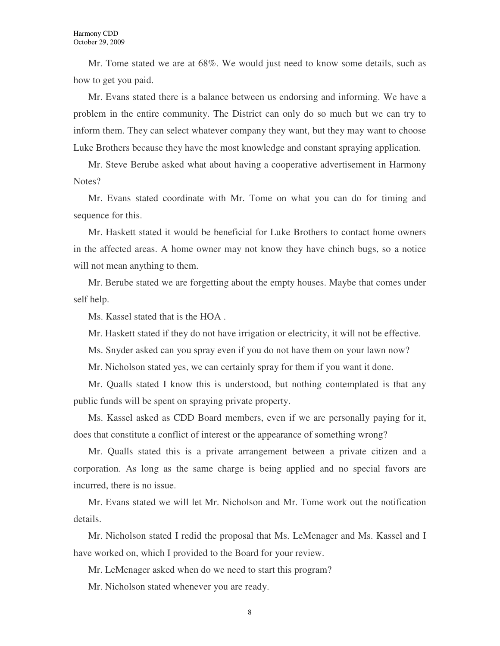Mr. Tome stated we are at 68%. We would just need to know some details, such as how to get you paid.

Mr. Evans stated there is a balance between us endorsing and informing. We have a problem in the entire community. The District can only do so much but we can try to inform them. They can select whatever company they want, but they may want to choose Luke Brothers because they have the most knowledge and constant spraying application.

Mr. Steve Berube asked what about having a cooperative advertisement in Harmony Notes?

Mr. Evans stated coordinate with Mr. Tome on what you can do for timing and sequence for this.

Mr. Haskett stated it would be beneficial for Luke Brothers to contact home owners in the affected areas. A home owner may not know they have chinch bugs, so a notice will not mean anything to them.

Mr. Berube stated we are forgetting about the empty houses. Maybe that comes under self help.

Ms. Kassel stated that is the HOA .

Mr. Haskett stated if they do not have irrigation or electricity, it will not be effective.

Ms. Snyder asked can you spray even if you do not have them on your lawn now?

Mr. Nicholson stated yes, we can certainly spray for them if you want it done.

Mr. Qualls stated I know this is understood, but nothing contemplated is that any public funds will be spent on spraying private property.

Ms. Kassel asked as CDD Board members, even if we are personally paying for it, does that constitute a conflict of interest or the appearance of something wrong?

Mr. Qualls stated this is a private arrangement between a private citizen and a corporation. As long as the same charge is being applied and no special favors are incurred, there is no issue.

Mr. Evans stated we will let Mr. Nicholson and Mr. Tome work out the notification details.

Mr. Nicholson stated I redid the proposal that Ms. LeMenager and Ms. Kassel and I have worked on, which I provided to the Board for your review.

Mr. LeMenager asked when do we need to start this program?

Mr. Nicholson stated whenever you are ready.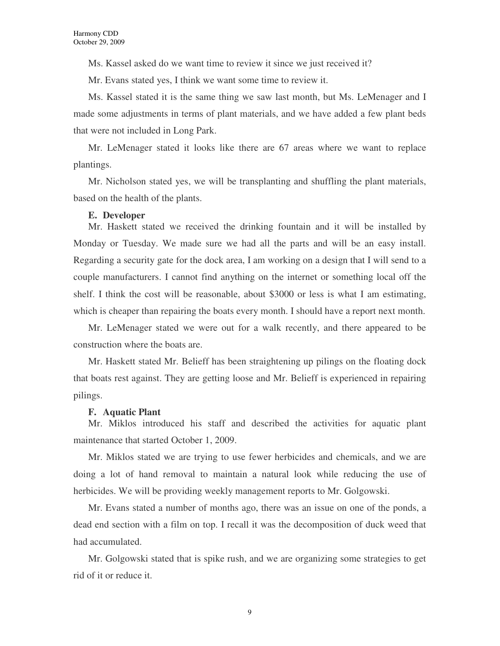Ms. Kassel asked do we want time to review it since we just received it?

Mr. Evans stated yes, I think we want some time to review it.

Ms. Kassel stated it is the same thing we saw last month, but Ms. LeMenager and I made some adjustments in terms of plant materials, and we have added a few plant beds that were not included in Long Park.

Mr. LeMenager stated it looks like there are 67 areas where we want to replace plantings.

Mr. Nicholson stated yes, we will be transplanting and shuffling the plant materials, based on the health of the plants.

#### **E. Developer**

Mr. Haskett stated we received the drinking fountain and it will be installed by Monday or Tuesday. We made sure we had all the parts and will be an easy install. Regarding a security gate for the dock area, I am working on a design that I will send to a couple manufacturers. I cannot find anything on the internet or something local off the shelf. I think the cost will be reasonable, about \$3000 or less is what I am estimating, which is cheaper than repairing the boats every month. I should have a report next month.

Mr. LeMenager stated we were out for a walk recently, and there appeared to be construction where the boats are.

Mr. Haskett stated Mr. Belieff has been straightening up pilings on the floating dock that boats rest against. They are getting loose and Mr. Belieff is experienced in repairing pilings.

#### **F. Aquatic Plant**

Mr. Miklos introduced his staff and described the activities for aquatic plant maintenance that started October 1, 2009.

Mr. Miklos stated we are trying to use fewer herbicides and chemicals, and we are doing a lot of hand removal to maintain a natural look while reducing the use of herbicides. We will be providing weekly management reports to Mr. Golgowski.

Mr. Evans stated a number of months ago, there was an issue on one of the ponds, a dead end section with a film on top. I recall it was the decomposition of duck weed that had accumulated.

Mr. Golgowski stated that is spike rush, and we are organizing some strategies to get rid of it or reduce it.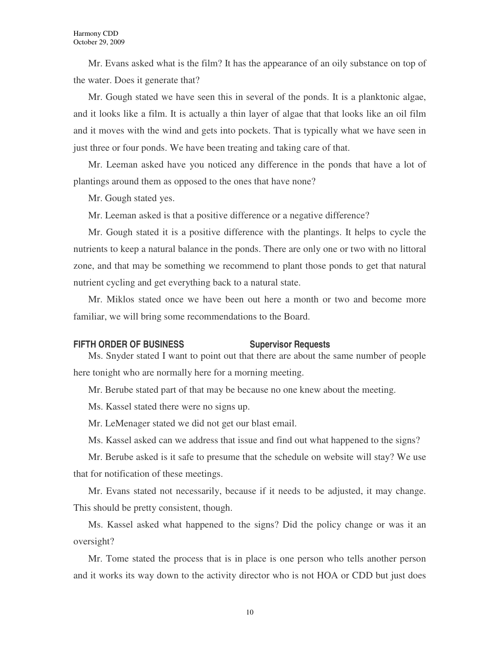Mr. Evans asked what is the film? It has the appearance of an oily substance on top of the water. Does it generate that?

Mr. Gough stated we have seen this in several of the ponds. It is a planktonic algae, and it looks like a film. It is actually a thin layer of algae that that looks like an oil film and it moves with the wind and gets into pockets. That is typically what we have seen in just three or four ponds. We have been treating and taking care of that.

Mr. Leeman asked have you noticed any difference in the ponds that have a lot of plantings around them as opposed to the ones that have none?

Mr. Gough stated yes.

Mr. Leeman asked is that a positive difference or a negative difference?

Mr. Gough stated it is a positive difference with the plantings. It helps to cycle the nutrients to keep a natural balance in the ponds. There are only one or two with no littoral zone, and that may be something we recommend to plant those ponds to get that natural nutrient cycling and get everything back to a natural state.

Mr. Miklos stated once we have been out here a month or two and become more familiar, we will bring some recommendations to the Board.

#### **FIFTH ORDER OF BUSINESS** Supervisor Requests

Ms. Snyder stated I want to point out that there are about the same number of people here tonight who are normally here for a morning meeting.

Mr. Berube stated part of that may be because no one knew about the meeting.

Ms. Kassel stated there were no signs up.

Mr. LeMenager stated we did not get our blast email.

Ms. Kassel asked can we address that issue and find out what happened to the signs?

Mr. Berube asked is it safe to presume that the schedule on website will stay? We use that for notification of these meetings.

Mr. Evans stated not necessarily, because if it needs to be adjusted, it may change. This should be pretty consistent, though.

Ms. Kassel asked what happened to the signs? Did the policy change or was it an oversight?

Mr. Tome stated the process that is in place is one person who tells another person and it works its way down to the activity director who is not HOA or CDD but just does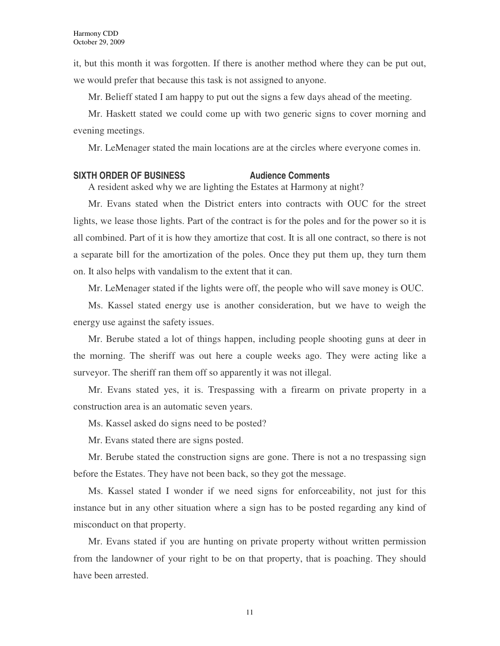it, but this month it was forgotten. If there is another method where they can be put out, we would prefer that because this task is not assigned to anyone.

Mr. Belieff stated I am happy to put out the signs a few days ahead of the meeting.

Mr. Haskett stated we could come up with two generic signs to cover morning and evening meetings.

Mr. LeMenager stated the main locations are at the circles where everyone comes in.

#### **SIXTH ORDER OF BUSINESS Audience Comments**

A resident asked why we are lighting the Estates at Harmony at night?

Mr. Evans stated when the District enters into contracts with OUC for the street lights, we lease those lights. Part of the contract is for the poles and for the power so it is all combined. Part of it is how they amortize that cost. It is all one contract, so there is not a separate bill for the amortization of the poles. Once they put them up, they turn them on. It also helps with vandalism to the extent that it can.

Mr. LeMenager stated if the lights were off, the people who will save money is OUC.

Ms. Kassel stated energy use is another consideration, but we have to weigh the energy use against the safety issues.

Mr. Berube stated a lot of things happen, including people shooting guns at deer in the morning. The sheriff was out here a couple weeks ago. They were acting like a surveyor. The sheriff ran them off so apparently it was not illegal.

Mr. Evans stated yes, it is. Trespassing with a firearm on private property in a construction area is an automatic seven years.

Ms. Kassel asked do signs need to be posted?

Mr. Evans stated there are signs posted.

Mr. Berube stated the construction signs are gone. There is not a no trespassing sign before the Estates. They have not been back, so they got the message.

Ms. Kassel stated I wonder if we need signs for enforceability, not just for this instance but in any other situation where a sign has to be posted regarding any kind of misconduct on that property.

Mr. Evans stated if you are hunting on private property without written permission from the landowner of your right to be on that property, that is poaching. They should have been arrested.